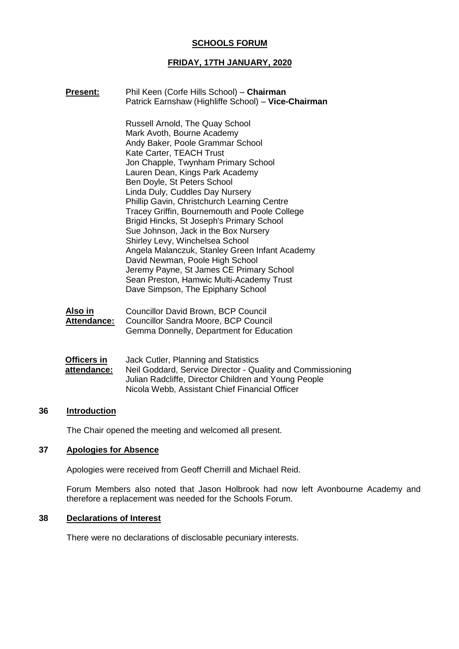## **SCHOOLS FORUM**

#### **FRIDAY, 17TH JANUARY, 2020**

| <b>Present:</b> | Phil Keen (Corfe Hills School) - Chairman<br>Patrick Earnshaw (Highliffe School) - Vice-Chairman                                                                                                                                                                                                                                                                                                                                                                                                                                                                                                                                   |
|-----------------|------------------------------------------------------------------------------------------------------------------------------------------------------------------------------------------------------------------------------------------------------------------------------------------------------------------------------------------------------------------------------------------------------------------------------------------------------------------------------------------------------------------------------------------------------------------------------------------------------------------------------------|
|                 | Russell Arnold, The Quay School<br>Mark Avoth, Bourne Academy<br>Andy Baker, Poole Grammar School<br>Kate Carter, TEACH Trust<br>Jon Chapple, Twynham Primary School<br>Lauren Dean, Kings Park Academy<br>Ben Doyle, St Peters School<br>Linda Duly, Cuddles Day Nursery<br>Phillip Gavin, Christchurch Learning Centre<br>Tracey Griffin, Bournemouth and Poole College<br>Brigid Hincks, St Joseph's Primary School<br>Sue Johnson, Jack in the Box Nursery<br>Shirley Levy, Winchelsea School<br>Angela Malanczuk, Stanley Green Infant Academy<br>David Newman, Poole High School<br>Jeremy Payne, St James CE Primary School |
|                 | Sean Preston, Hamwic Multi-Academy Trust<br>Dave Simpson, The Epiphany School                                                                                                                                                                                                                                                                                                                                                                                                                                                                                                                                                      |
|                 |                                                                                                                                                                                                                                                                                                                                                                                                                                                                                                                                                                                                                                    |

| Also in     | <b>Councillor David Brown, BCP Council</b> |
|-------------|--------------------------------------------|
| Attendance: | Councillor Sandra Moore, BCP Council       |
|             | Gemma Donnelly, Department for Education   |

| Officers in | Jack Cutler, Planning and Statistics                       |
|-------------|------------------------------------------------------------|
| attendance: | Neil Goddard, Service Director - Quality and Commissioning |
|             | Julian Radcliffe, Director Children and Young People       |
|             | Nicola Webb, Assistant Chief Financial Officer             |

## **36 Introduction**

The Chair opened the meeting and welcomed all present.

#### **37 Apologies for Absence**

Apologies were received from Geoff Cherrill and Michael Reid.

Forum Members also noted that Jason Holbrook had now left Avonbourne Academy and therefore a replacement was needed for the Schools Forum.

## **38 Declarations of Interest**

There were no declarations of disclosable pecuniary interests.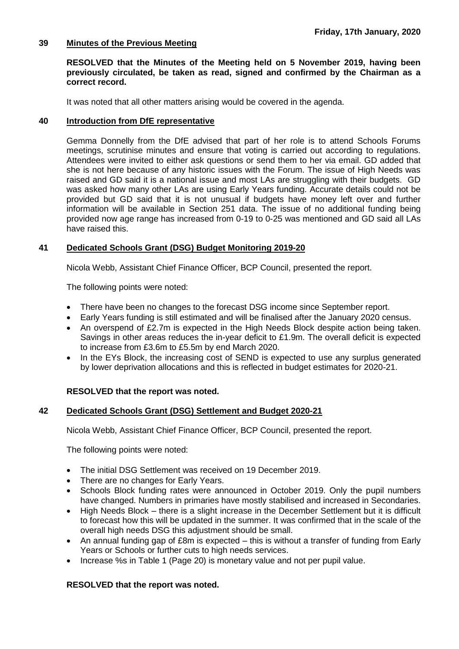### **39 Minutes of the Previous Meeting**

**RESOLVED that the Minutes of the Meeting held on 5 November 2019, having been previously circulated, be taken as read, signed and confirmed by the Chairman as a correct record.**

It was noted that all other matters arising would be covered in the agenda.

#### **40 Introduction from DfE representative**

Gemma Donnelly from the DfE advised that part of her role is to attend Schools Forums meetings, scrutinise minutes and ensure that voting is carried out according to regulations. Attendees were invited to either ask questions or send them to her via email. GD added that she is not here because of any historic issues with the Forum. The issue of High Needs was raised and GD said it is a national issue and most LAs are struggling with their budgets. GD was asked how many other LAs are using Early Years funding. Accurate details could not be provided but GD said that it is not unusual if budgets have money left over and further information will be available in Section 251 data. The issue of no additional funding being provided now age range has increased from 0-19 to 0-25 was mentioned and GD said all LAs have raised this.

#### **41 Dedicated Schools Grant (DSG) Budget Monitoring 2019-20**

Nicola Webb, Assistant Chief Finance Officer, BCP Council, presented the report.

The following points were noted:

- There have been no changes to the forecast DSG income since September report.
- Early Years funding is still estimated and will be finalised after the January 2020 census.
- An overspend of £2.7m is expected in the High Needs Block despite action being taken. Savings in other areas reduces the in-year deficit to £1.9m. The overall deficit is expected to increase from £3.6m to £5.5m by end March 2020.
- In the EYs Block, the increasing cost of SEND is expected to use any surplus generated by lower deprivation allocations and this is reflected in budget estimates for 2020-21.

#### **RESOLVED that the report was noted.**

#### **42 Dedicated Schools Grant (DSG) Settlement and Budget 2020-21**

Nicola Webb, Assistant Chief Finance Officer, BCP Council, presented the report.

The following points were noted:

- The initial DSG Settlement was received on 19 December 2019.
- There are no changes for Early Years.
- Schools Block funding rates were announced in October 2019. Only the pupil numbers have changed. Numbers in primaries have mostly stabilised and increased in Secondaries.
- High Needs Block there is a slight increase in the December Settlement but it is difficult to forecast how this will be updated in the summer. It was confirmed that in the scale of the overall high needs DSG this adjustment should be small.
- An annual funding gap of £8m is expected this is without a transfer of funding from Early Years or Schools or further cuts to high needs services.
- Increase %s in Table 1 (Page 20) is monetary value and not per pupil value.

#### **RESOLVED that the report was noted.**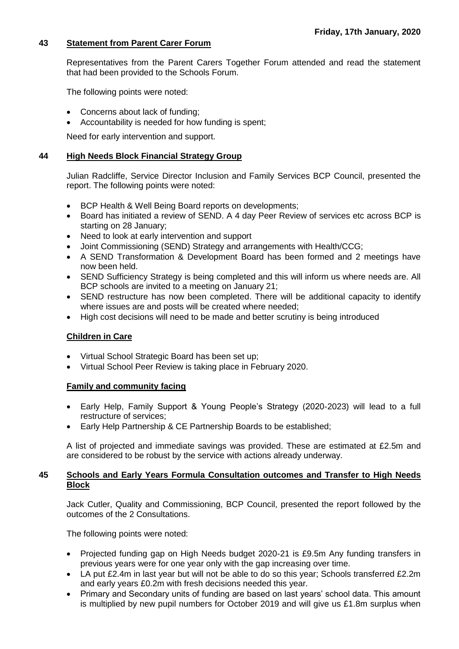## **43 Statement from Parent Carer Forum**

Representatives from the Parent Carers Together Forum attended and read the statement that had been provided to the Schools Forum.

The following points were noted:

- Concerns about lack of funding;
- Accountability is needed for how funding is spent;

Need for early intervention and support.

#### **44 High Needs Block Financial Strategy Group**

Julian Radcliffe, Service Director Inclusion and Family Services BCP Council, presented the report. The following points were noted:

- BCP Health & Well Being Board reports on developments;
- Board has initiated a review of SEND. A 4 day Peer Review of services etc across BCP is starting on 28 January;
- Need to look at early intervention and support
- Joint Commissioning (SEND) Strategy and arrangements with Health/CCG;
- A SEND Transformation & Development Board has been formed and 2 meetings have now been held.
- SEND Sufficiency Strategy is being completed and this will inform us where needs are. All BCP schools are invited to a meeting on January 21;
- SEND restructure has now been completed. There will be additional capacity to identify where issues are and posts will be created where needed;
- High cost decisions will need to be made and better scrutiny is being introduced

#### **Children in Care**

- Virtual School Strategic Board has been set up;
- Virtual School Peer Review is taking place in February 2020.

#### **Family and community facing**

- Early Help, Family Support & Young People's Strategy (2020-2023) will lead to a full restructure of services;
- Early Help Partnership & CE Partnership Boards to be established;

A list of projected and immediate savings was provided. These are estimated at £2.5m and are considered to be robust by the service with actions already underway.

#### **45 Schools and Early Years Formula Consultation outcomes and Transfer to High Needs Block**

Jack Cutler, Quality and Commissioning, BCP Council, presented the report followed by the outcomes of the 2 Consultations.

The following points were noted:

- Projected funding gap on High Needs budget 2020-21 is £9.5m Any funding transfers in previous years were for one year only with the gap increasing over time.
- LA put £2.4m in last year but will not be able to do so this year; Schools transferred £2.2m and early years £0.2m with fresh decisions needed this year.
- Primary and Secondary units of funding are based on last years' school data. This amount is multiplied by new pupil numbers for October 2019 and will give us £1.8m surplus when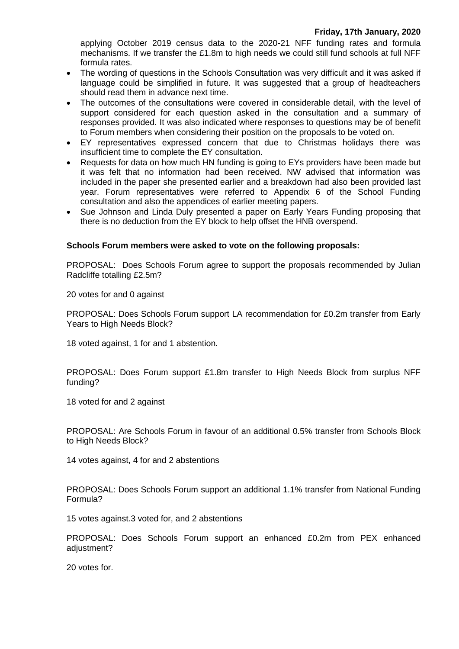applying October 2019 census data to the 2020-21 NFF funding rates and formula mechanisms. If we transfer the £1.8m to high needs we could still fund schools at full NFF formula rates.

- The wording of questions in the Schools Consultation was very difficult and it was asked if language could be simplified in future. It was suggested that a group of headteachers should read them in advance next time.
- The outcomes of the consultations were covered in considerable detail, with the level of support considered for each question asked in the consultation and a summary of responses provided. It was also indicated where responses to questions may be of benefit to Forum members when considering their position on the proposals to be voted on.
- EY representatives expressed concern that due to Christmas holidays there was insufficient time to complete the EY consultation.
- Requests for data on how much HN funding is going to EYs providers have been made but it was felt that no information had been received. NW advised that information was included in the paper she presented earlier and a breakdown had also been provided last year. Forum representatives were referred to Appendix 6 of the School Funding consultation and also the appendices of earlier meeting papers.
- Sue Johnson and Linda Duly presented a paper on Early Years Funding proposing that there is no deduction from the EY block to help offset the HNB overspend.

#### **Schools Forum members were asked to vote on the following proposals:**

PROPOSAL: Does Schools Forum agree to support the proposals recommended by Julian Radcliffe totalling £2.5m?

20 votes for and 0 against

PROPOSAL: Does Schools Forum support LA recommendation for £0.2m transfer from Early Years to High Needs Block?

18 voted against, 1 for and 1 abstention.

PROPOSAL: Does Forum support £1.8m transfer to High Needs Block from surplus NFF funding?

18 voted for and 2 against

PROPOSAL: Are Schools Forum in favour of an additional 0.5% transfer from Schools Block to High Needs Block?

14 votes against, 4 for and 2 abstentions

PROPOSAL: Does Schools Forum support an additional 1.1% transfer from National Funding Formula?

15 votes against.3 voted for, and 2 abstentions

PROPOSAL: Does Schools Forum support an enhanced £0.2m from PEX enhanced adiustment?

20 votes for.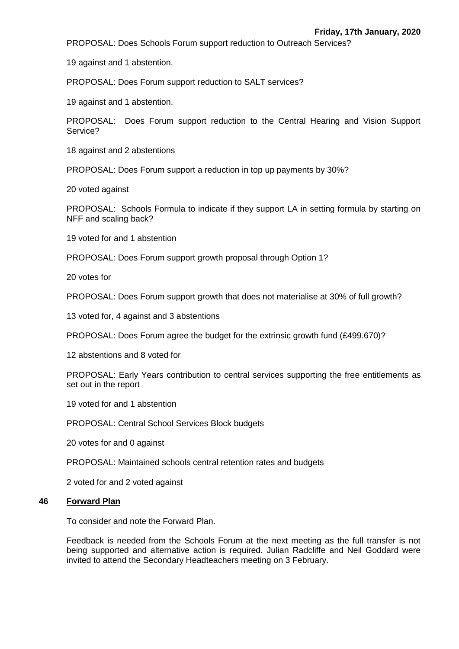PROPOSAL: Does Schools Forum support reduction to Outreach Services?

19 against and 1 abstention.

PROPOSAL: Does Forum support reduction to SALT services?

19 against and 1 abstention.

PROPOSAL: Does Forum support reduction to the Central Hearing and Vision Support Service?

18 against and 2 abstentions

PROPOSAL: Does Forum support a reduction in top up payments by 30%?

20 voted against

PROPOSAL: Schools Formula to indicate if they support LA in setting formula by starting on NFF and scaling back?

19 voted for and 1 abstention

PROPOSAL: Does Forum support growth proposal through Option 1?

20 votes for

PROPOSAL: Does Forum support growth that does not materialise at 30% of full growth?

13 voted for, 4 against and 3 abstentions

PROPOSAL: Does Forum agree the budget for the extrinsic growth fund (£499.670)?

12 abstentions and 8 voted for

PROPOSAL: Early Years contribution to central services supporting the free entitlements as set out in the report

19 voted for and 1 abstention

PROPOSAL: Central School Services Block budgets

20 votes for and 0 against

PROPOSAL: Maintained schools central retention rates and budgets

2 voted for and 2 voted against

#### **46 Forward Plan**

To consider and note the Forward Plan.

Feedback is needed from the Schools Forum at the next meeting as the full transfer is not being supported and alternative action is required. Julian Radcliffe and Neil Goddard were invited to attend the Secondary Headteachers meeting on 3 February.